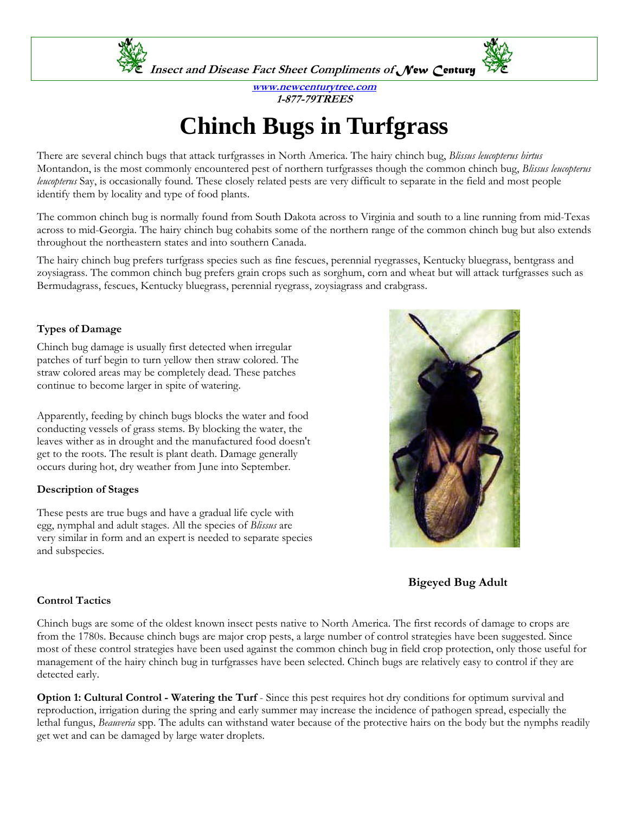

**www.newcenturytree.com 1-877-79TREES** 

# **Chinch Bugs in Turfgrass**

There are several chinch bugs that attack turfgrasses in North America. The hairy chinch bug, *Blissus leucopterus hirtus* Montandon, is the most commonly encountered pest of northern turfgrasses though the common chinch bug, *Blissus leucopterus leucopterus* Say, is occasionally found. These closely related pests are very difficult to separate in the field and most people identify them by locality and type of food plants.

The common chinch bug is normally found from South Dakota across to Virginia and south to a line running from mid-Texas across to mid-Georgia. The hairy chinch bug cohabits some of the northern range of the common chinch bug but also extends throughout the northeastern states and into southern Canada.

The hairy chinch bug prefers turfgrass species such as fine fescues, perennial ryegrasses, Kentucky bluegrass, bentgrass and zoysiagrass. The common chinch bug prefers grain crops such as sorghum, corn and wheat but will attack turfgrasses such as Bermudagrass, fescues, Kentucky bluegrass, perennial ryegrass, zoysiagrass and crabgrass.

## **Types of Damage**

Chinch bug damage is usually first detected when irregular patches of turf begin to turn yellow then straw colored. The straw colored areas may be completely dead. These patches continue to become larger in spite of watering.

Apparently, feeding by chinch bugs blocks the water and food conducting vessels of grass stems. By blocking the water, the leaves wither as in drought and the manufactured food doesn't get to the roots. The result is plant death. Damage generally occurs during hot, dry weather from June into September.

### **Description of Stages**

These pests are true bugs and have a gradual life cycle with egg, nymphal and adult stages. All the species of *Blissus* are very similar in form and an expert is needed to separate species and subspecies.



 **Bigeyed Bug Adult** 

### **Control Tactics**

Chinch bugs are some of the oldest known insect pests native to North America. The first records of damage to crops are from the 1780s. Because chinch bugs are major crop pests, a large number of control strategies have been suggested. Since most of these control strategies have been used against the common chinch bug in field crop protection, only those useful for management of the hairy chinch bug in turfgrasses have been selected. Chinch bugs are relatively easy to control if they are detected early.

**Option 1: Cultural Control - Watering the Turf** - Since this pest requires hot dry conditions for optimum survival and reproduction, irrigation during the spring and early summer may increase the incidence of pathogen spread, especially the lethal fungus, *Beauveria* spp. The adults can withstand water because of the protective hairs on the body but the nymphs readily get wet and can be damaged by large water droplets.